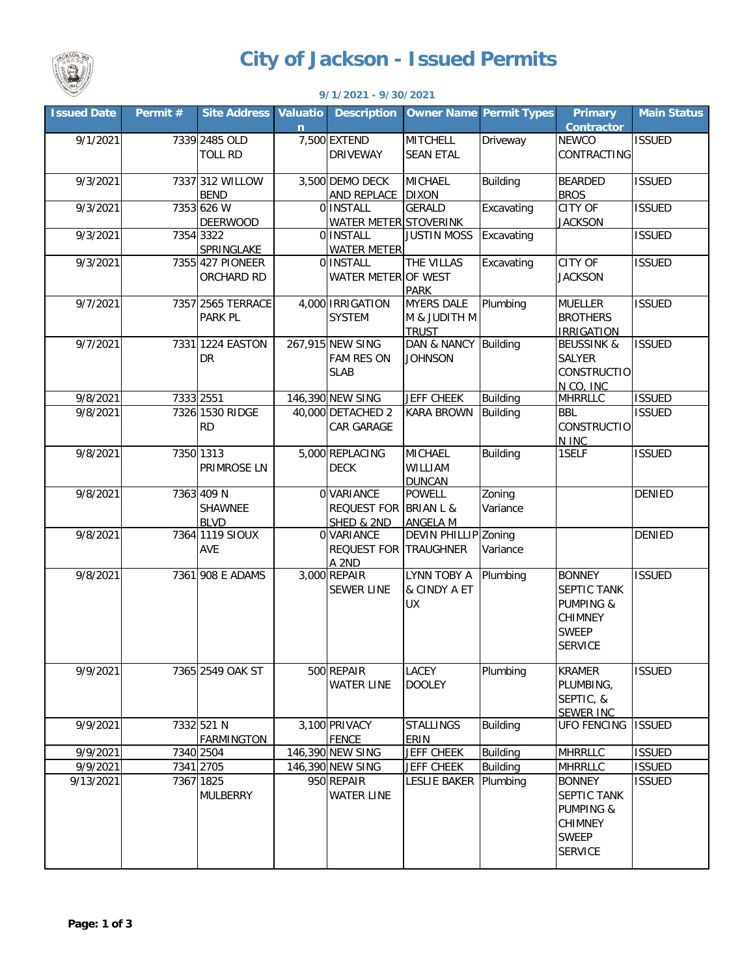

## **City of Jackson - Issued Permits**

|                    |          |                                      |                       | $9/1/2021 - 9/30/2021$                               |                                                   |                    |                                                                                                          |                    |
|--------------------|----------|--------------------------------------|-----------------------|------------------------------------------------------|---------------------------------------------------|--------------------|----------------------------------------------------------------------------------------------------------|--------------------|
| <b>Issued Date</b> | Permit # | <b>Site Address</b>                  | <b>Valuatio</b><br>n. | <b>Description</b>                                   | <b>Owner Name Permit Types</b>                    |                    | Primary<br><b>Contractor</b>                                                                             | <b>Main Status</b> |
| 9/1/2021           |          | 7339 2485 OLD<br><b>TOLL RD</b>      |                       | 7,500 EXTEND<br><b>DRIVEWAY</b>                      | <b>MITCHELL</b><br><b>SEAN ETAL</b>               | Driveway           | NEWCO<br>CONTRACTING                                                                                     | <b>ISSUED</b>      |
| 9/3/2021           |          | 7337 312 WILLOW<br><b>BEND</b>       |                       | 3,500 DEMO DECK<br>AND REPLACE DIXON                 | <b>MICHAEL</b>                                    | Building           | <b>BEARDED</b><br><b>BROS</b>                                                                            | <b>ISSUED</b>      |
| 9/3/2021           |          | 7353 626 W<br><b>DEERWOOD</b>        |                       | 0 INSTALL<br>WATER METER STOVERINK                   | <b>GERALD</b>                                     | Excavating         | CITY OF<br><b>JACKSON</b>                                                                                | <b>ISSUED</b>      |
| 9/3/2021           |          | 7354 3322<br>SPRINGLAKE              |                       | 0 INSTALL<br><b>WATER METER</b>                      | <b>JUSTIN MOSS</b>                                | Excavating         |                                                                                                          | <b>ISSUED</b>      |
| 9/3/2021           |          | 7355 427 PIONEER<br>ORCHARD RD       |                       | 0 INSTALL<br>WATER METER OF WEST                     | THE VILLAS<br><b>PARK</b>                         | Excavating         | <b>CITY OF</b><br><b>JACKSON</b>                                                                         | <b>ISSUED</b>      |
| 9/7/2021           |          | 7357 2565 TERRACE<br>PARK PL         |                       | 4,000 IRRIGATION<br><b>SYSTEM</b>                    | <b>MYERS DALE</b><br>M & JUDITH M<br><b>TRUST</b> | Plumbing           | <b>MUELLER</b><br><b>BROTHERS</b><br><b>IRRIGATION</b>                                                   | <b>ISSUED</b>      |
| 9/7/2021           |          | 7331 1224 EASTON<br>DR               |                       | 267,915 NEW SING<br><b>FAM RES ON</b><br><b>SLAB</b> | DAN & NANCY Building<br><b>JOHNSON</b>            |                    | <b>BEUSSINK &amp;</b><br><b>SALYER</b><br>CONSTRUCTIO<br>N CO, INC                                       | <b>ISSUED</b>      |
| 9/8/2021           |          | 7333 2551                            |                       | 146,390 NEW SING                                     | <b>JEFF CHEEK</b>                                 | <b>Building</b>    | <b>MHRRLLC</b>                                                                                           | <b>ISSUED</b>      |
| 9/8/2021           |          | 7326 1530 RIDGE<br><b>RD</b>         |                       | 40,000 DETACHED 2<br>CAR GARAGE                      | <b>KARA BROWN</b>                                 | <b>Building</b>    | <b>BBL</b><br><b>CONSTRUCTIO</b><br>N INC                                                                | <b>ISSUED</b>      |
| 9/8/2021           |          | 7350 1313<br>PRIMROSE LN             |                       | 5,000 REPLACING<br><b>DECK</b>                       | <b>MICHAEL</b><br>WILLIAM<br><b>DUNCAN</b>        | <b>Building</b>    | 1SELF                                                                                                    | <b>ISSUED</b>      |
| 9/8/2021           |          | 7363 409 N<br>SHAWNEE<br><b>BLVD</b> |                       | 0 VARIANCE<br>REQUEST FOR BRIAN L &<br>SHED & 2ND    | <b>POWELL</b><br><b>ANGELA M</b>                  | Zoning<br>Variance |                                                                                                          | <b>DENIED</b>      |
| 9/8/2021           |          | 7364 1119 SIOUX<br>AVE               |                       | 0 VARIANCE<br><b>REQUEST FOR</b><br>A 2ND            | DEVIN PHILLIP Zoning<br><b>TRAUGHNER</b>          | Variance           |                                                                                                          | <b>DENIED</b>      |
| 9/8/2021           |          | 7361 908 E ADAMS                     |                       | 3,000 REPAIR<br><b>SEWER LINE</b>                    | <b>LYNN TOBY A</b><br>& CINDY A ET<br>UX          | Plumbing           | <b>BONNEY</b><br>SEPTIC TANK<br><b>PUMPING &amp;</b><br><b>CHIMNEY</b><br><b>SWEEP</b><br><b>SERVICE</b> | <b>ISSUED</b>      |
| 9/9/2021           |          | 7365 2549 OAK ST                     |                       | 500 REPAIR<br><b>WATER LINE</b>                      | LACEY<br><b>DOOLEY</b>                            | Plumbing           | <b>KRAMER</b><br>PLUMBING,<br>SEPTIC, &<br><b>SEWER INC</b>                                              | <b>ISSUED</b>      |
| 9/9/2021           |          | 7332 521 N<br><b>FARMINGTON</b>      |                       | 3,100 PRIVACY<br><b>FENCE</b>                        | <b>STALLINGS</b><br>ERIN                          | <b>Building</b>    | <b>UFO FENCING</b>                                                                                       | <b>ISSUED</b>      |
| 9/9/2021           |          | 7340 2504                            |                       | 146,390 NEW SING                                     | <b>JEFF CHEEK</b>                                 | Building           | <b>MHRRLLC</b>                                                                                           | <b>ISSUED</b>      |
| 9/9/2021           |          | 7341 2705                            |                       | 146,390 NEW SING                                     | <b>JEFF CHEEK</b>                                 | <b>Building</b>    | <b>MHRRLLC</b>                                                                                           | <b>ISSUED</b>      |
| 9/13/2021          |          | 7367 1825<br><b>MULBERRY</b>         |                       | 950 REPAIR<br><b>WATER LINE</b>                      | LESLIE BAKER   Plumbing                           |                    | <b>BONNEY</b><br>SEPTIC TANK<br><b>PUMPING &amp;</b><br><b>CHIMNEY</b><br><b>SWEEP</b><br><b>SERVICE</b> | <b>ISSUED</b>      |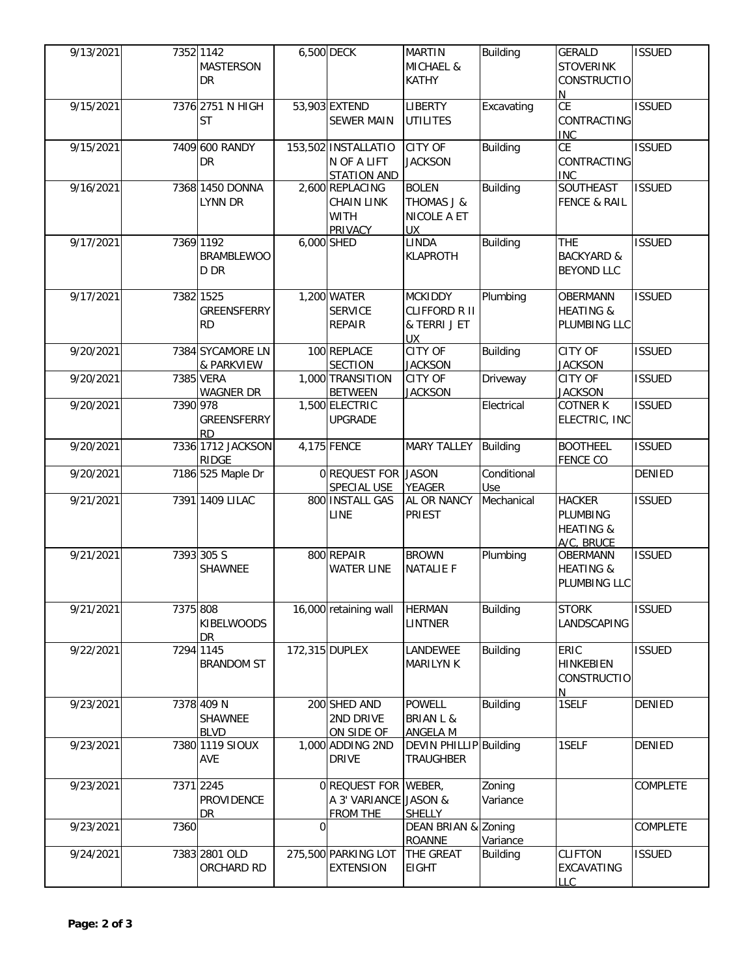| 9/13/2021 |          | 7352 1142          |   | 6,500 DECK            | <b>MARTIN</b>                 | <b>Building</b> | <b>GERALD</b>            | <b>ISSUED</b> |
|-----------|----------|--------------------|---|-----------------------|-------------------------------|-----------------|--------------------------|---------------|
|           |          | <b>MASTERSON</b>   |   |                       | MICHAEL &                     |                 | <b>STOVERINK</b>         |               |
|           |          | <b>DR</b>          |   |                       | KATHY                         |                 | CONSTRUCTIO              |               |
|           |          |                    |   |                       |                               |                 | N.                       |               |
| 9/15/2021 |          | 7376 2751 N HIGH   |   | 53,903 EXTEND         | <b>LIBERTY</b>                | Excavating      | CE                       | <b>ISSUED</b> |
|           |          | <b>ST</b>          |   | <b>SEWER MAIN</b>     | <b>UTILITES</b>               |                 | CONTRACTING              |               |
|           |          |                    |   |                       |                               |                 | <b>INC</b>               |               |
| 9/15/2021 |          | 7409 600 RANDY     |   | 153,502 INSTALLATIO   | <b>CITY OF</b>                | <b>Building</b> | CE                       | <b>ISSUED</b> |
|           |          | <b>DR</b>          |   | N OF A LIFT           | <b>JACKSON</b>                |                 | CONTRACTING              |               |
|           |          |                    |   | <b>STATION AND</b>    |                               |                 | <b>INC</b>               |               |
| 9/16/2021 |          | 7368 1450 DONNA    |   | 2,600 REPLACING       | <b>BOLEN</b>                  | <b>Building</b> | SOUTHEAST                | <b>ISSUED</b> |
|           |          | <b>LYNN DR</b>     |   | <b>CHAIN LINK</b>     | <b>THOMAS J &amp;</b>         |                 | <b>FENCE &amp; RAIL</b>  |               |
|           |          |                    |   | <b>WITH</b>           | NICOLE A ET                   |                 |                          |               |
|           |          |                    |   | <b>PRIVACY</b>        | UX.                           |                 |                          |               |
| 9/17/2021 |          | 7369 1192          |   | 6,000 SHED            | LINDA                         | <b>Building</b> | <b>THE</b>               | <b>ISSUED</b> |
|           |          | <b>BRAMBLEWOO</b>  |   |                       | <b>KLAPROTH</b>               |                 | <b>BACKYARD &amp;</b>    |               |
|           |          | D DR               |   |                       |                               |                 | <b>BEYOND LLC</b>        |               |
|           |          |                    |   |                       |                               |                 |                          |               |
| 9/17/2021 |          | 7382 1525          |   | 1,200 WATER           | <b>MCKIDDY</b>                | Plumbing        | <b>OBERMANN</b>          | <b>ISSUED</b> |
|           |          | <b>GREENSFERRY</b> |   | <b>SERVICE</b>        | CLIFFORD R II                 |                 | <b>HEATING &amp;</b>     |               |
|           |          | <b>RD</b>          |   | <b>REPAIR</b>         | & TERRI J ET                  |                 | PLUMBING LLC             |               |
|           |          |                    |   |                       | UX                            |                 |                          |               |
| 9/20/2021 |          | 7384 SYCAMORE LN   |   | 100 REPLACE           | CITY OF                       | <b>Building</b> | <b>CITY OF</b>           | <b>ISSUED</b> |
|           |          | & PARKVIEW         |   | <b>SECTION</b>        | <b>JACKSON</b>                |                 | <b>JACKSON</b>           |               |
| 9/20/2021 |          | 7385 VERA          |   | 1,000 TRANSITION      | CITY OF                       | Driveway        | CITY OF                  | <b>ISSUED</b> |
|           |          | <b>WAGNER DR</b>   |   | <b>BETWEEN</b>        | <b>JACKSON</b>                |                 | <b>JACKSON</b>           |               |
| 9/20/2021 | 7390 978 |                    |   | 1,500 ELECTRIC        |                               | Electrical      | <b>COTNER K</b>          | <b>ISSUED</b> |
|           |          | GREENSFERRY        |   | <b>UPGRADE</b>        |                               |                 | ELECTRIC, INC            |               |
|           |          | <b>RD</b>          |   |                       |                               |                 |                          |               |
| 9/20/2021 |          | 7336 1712 JACKSON  |   | 4,175 FENCE           | <b>MARY TALLEY</b>            | Building        | <b>BOOTHEEL</b>          | <b>ISSUED</b> |
|           |          | <b>RIDGE</b>       |   |                       |                               |                 | <b>FENCE CO</b>          |               |
|           |          |                    |   |                       |                               |                 |                          |               |
| 9/20/2021 |          |                    |   | 0 REQUEST FOR JASON   |                               | Conditional     |                          | <b>DENIED</b> |
|           |          | 7186 525 Maple Dr  |   | SPECIAL USE           | YEAGER                        | Use             |                          |               |
| 9/21/2021 |          | 7391 1409 LILAC    |   | 800 INSTALL GAS       | AL OR NANCY                   | Mechanical      | <b>HACKER</b>            | <b>ISSUED</b> |
|           |          |                    |   | LINE                  | PRIEST                        |                 | PLUMBING                 |               |
|           |          |                    |   |                       |                               |                 | <b>HEATING &amp;</b>     |               |
|           |          |                    |   |                       |                               |                 | A/C, BRUCE               |               |
| 9/21/2021 |          | 7393 305 S         |   | 800 REPAIR            | <b>BROWN</b>                  | Plumbing        | <b>OBERMANN</b>          | <b>ISSUED</b> |
|           |          | SHAWNEE            |   | <b>WATER LINE</b>     | <b>NATALIE F</b>              |                 | <b>HEATING &amp;</b>     |               |
|           |          |                    |   |                       |                               |                 | PLUMBING LLC             |               |
|           |          |                    |   |                       |                               |                 |                          |               |
| 9/21/2021 | 7375 808 |                    |   | 16,000 retaining wall | <b>HERMAN</b>                 | <b>Building</b> | <b>STORK</b>             | <b>ISSUED</b> |
|           |          | <b>KIBELWOODS</b>  |   |                       | <b>LINTNER</b>                |                 | LANDSCAPING              |               |
|           |          | <b>DR</b>          |   |                       |                               |                 |                          |               |
| 9/22/2021 |          | 7294 1145          |   | 172,315 DUPLEX        | LANDEWEE                      | <b>Building</b> | ERIC                     | <b>ISSUED</b> |
|           |          | <b>BRANDOM ST</b>  |   |                       | <b>MARILYN K</b>              |                 | <b>HINKEBIEN</b>         |               |
|           |          |                    |   |                       |                               |                 | <b>CONSTRUCTIO</b>       |               |
|           |          |                    |   |                       |                               |                 | N                        |               |
| 9/23/2021 |          | 7378 409 N         |   | 200 SHED AND          | <b>POWELL</b>                 | <b>Building</b> | 1SELF                    | <b>DENIED</b> |
|           |          | SHAWNEE            |   | 2ND DRIVE             | <b>BRIAN L &amp;</b>          |                 |                          |               |
|           |          | <b>BLVD</b>        |   | ON SIDE OF            | <b>ANGELA M</b>               |                 |                          |               |
| 9/23/2021 |          | 7380 1119 SIOUX    |   | 1,000 ADDING 2ND      | <b>DEVIN PHILLIP</b> Building |                 | 1SELF                    | DENIED        |
|           |          | AVE                |   | <b>DRIVE</b>          | <b>TRAUGHBER</b>              |                 |                          |               |
|           |          |                    |   |                       |                               |                 |                          |               |
| 9/23/2021 |          | 7371 2245          |   | 0 REQUEST FOR WEBER,  |                               | Zoning          |                          | COMPLETE      |
|           |          | PROVIDENCE         |   | A 3' VARIANCE JASON & |                               | Variance        |                          |               |
|           |          | DR                 |   | <b>FROM THE</b>       | SHELLY                        |                 |                          |               |
| 9/23/2021 | 7360     |                    | 0 |                       | DEAN BRIAN & Zoning           |                 |                          | COMPLETE      |
|           |          |                    |   |                       | <b>ROANNE</b>                 | Variance        |                          |               |
| 9/24/2021 |          | 7383 2801 OLD      |   | 275,500 PARKING LOT   | THE GREAT                     | <b>Building</b> | <b>CLIFTON</b>           | <b>ISSUED</b> |
|           |          | ORCHARD RD         |   | <b>EXTENSION</b>      | <b>EIGHT</b>                  |                 | EXCAVATING<br><b>LLC</b> |               |